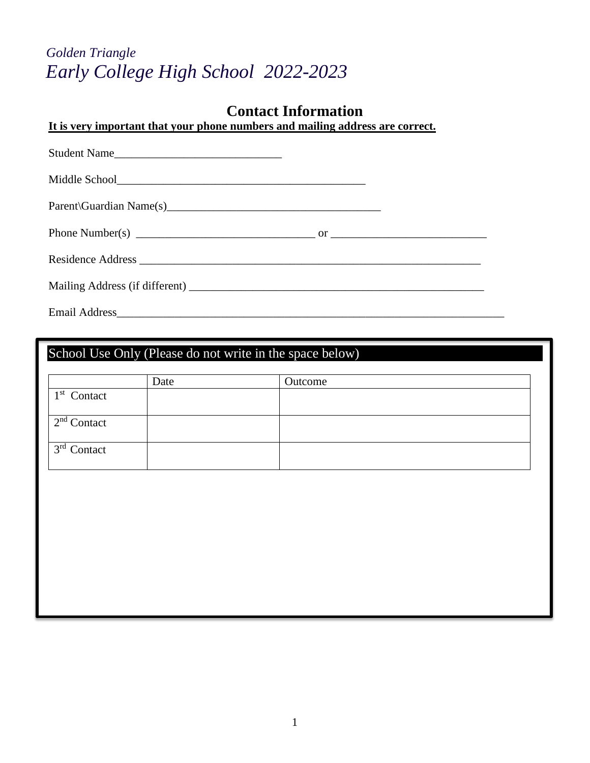# *Golden Triangle Early College High School 2022-2023*

## **Contact Information**

**It is very important that your phone numbers and mailing address are correct.**

| Student Name         |  |
|----------------------|--|
|                      |  |
|                      |  |
|                      |  |
|                      |  |
|                      |  |
| <b>Email Address</b> |  |

School Use Only (Please do not write in the space below)

|                                 | Date | Outcome |
|---------------------------------|------|---------|
| $1st$ Contact                   |      |         |
| $\perp$ 2 <sup>nd</sup> Contact |      |         |
| $\perp$ 3 <sup>rd</sup> Contact |      |         |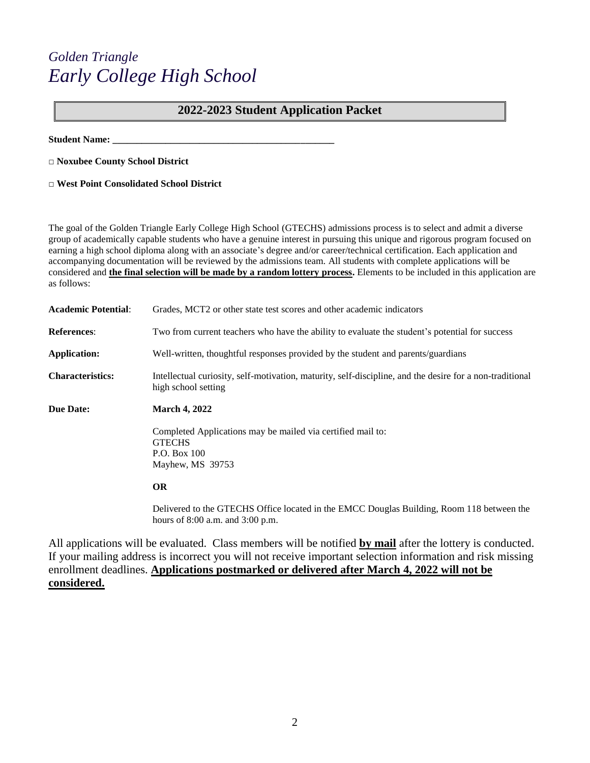# *Golden Triangle Early College High School*

## **2022-2023 Student Application Packet**

**Student Name: \_\_\_\_\_\_\_\_\_\_\_\_\_\_\_\_\_\_\_\_\_\_\_\_\_\_\_\_\_\_\_\_\_\_\_\_\_\_\_\_\_\_\_\_\_\_**

**□ Noxubee County School District**

**□ West Point Consolidated School District**

The goal of the Golden Triangle Early College High School (GTECHS) admissions process is to select and admit a diverse group of academically capable students who have a genuine interest in pursuing this unique and rigorous program focused on earning a high school diploma along with an associate's degree and/or career/technical certification. Each application and accompanying documentation will be reviewed by the admissions team. All students with complete applications will be considered and **the final selection will be made by a random lottery process.** Elements to be included in this application are as follows:

| <b>Academic Potential:</b> | Grades, MCT2 or other state test scores and other academic indicators                                                             |
|----------------------------|-----------------------------------------------------------------------------------------------------------------------------------|
| <b>References:</b>         | Two from current teachers who have the ability to evaluate the student's potential for success                                    |
| Application:               | Well-written, thoughtful responses provided by the student and parents/guardians                                                  |
| <b>Characteristics:</b>    | Intellectual curiosity, self-motivation, maturity, self-discipline, and the desire for a non-traditional<br>high school setting   |
| <b>Due Date:</b>           | <b>March 4, 2022</b>                                                                                                              |
|                            | Completed Applications may be mailed via certified mail to:<br><b>GTECHS</b><br>P.O. Box 100<br>Mayhew, MS 39753                  |
|                            | <b>OR</b>                                                                                                                         |
|                            | Delivered to the GTECHS Office located in the EMCC Douglas Building, Room 118 between the<br>hours of $8:00$ a.m. and $3:00$ p.m. |

All applications will be evaluated. Class members will be notified **by mail** after the lottery is conducted. If your mailing address is incorrect you will not receive important selection information and risk missing enrollment deadlines. **Applications postmarked or delivered after March 4, 2022 will not be considered.**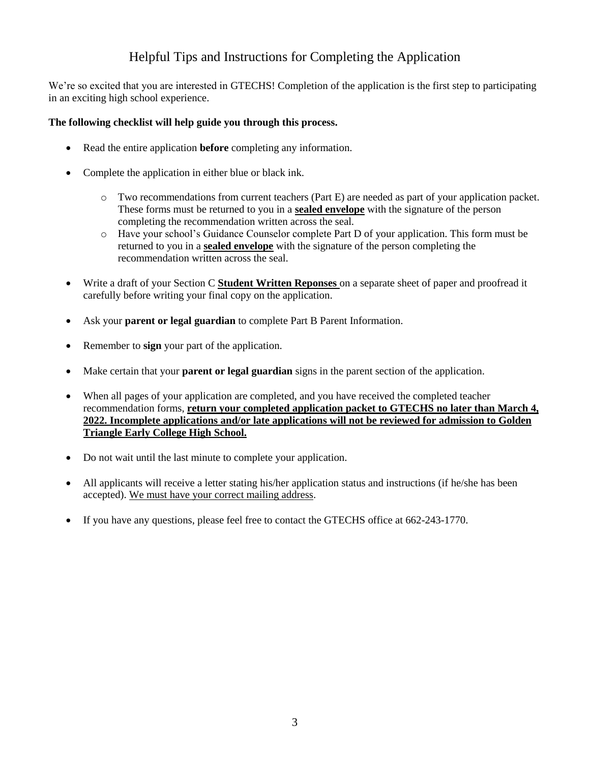## Helpful Tips and Instructions for Completing the Application

We're so excited that you are interested in GTECHS! Completion of the application is the first step to participating in an exciting high school experience.

## **The following checklist will help guide you through this process.**

- Read the entire application **before** completing any information.
- Complete the application in either blue or black ink.
	- o Two recommendations from current teachers (Part E) are needed as part of your application packet. These forms must be returned to you in a **sealed envelope** with the signature of the person completing the recommendation written across the seal.
	- o Have your school's Guidance Counselor complete Part D of your application. This form must be returned to you in a **sealed envelope** with the signature of the person completing the recommendation written across the seal.
- Write a draft of your Section C **Student Written Reponses** on a separate sheet of paper and proofread it carefully before writing your final copy on the application.
- Ask your **parent or legal guardian** to complete Part B Parent Information.
- Remember to **sign** your part of the application.
- Make certain that your **parent or legal guardian** signs in the parent section of the application.
- When all pages of your application are completed, and you have received the completed teacher recommendation forms, **return your completed application packet to GTECHS no later than March 4, 2022. Incomplete applications and/or late applications will not be reviewed for admission to Golden Triangle Early College High School.**
- Do not wait until the last minute to complete your application.
- All applicants will receive a letter stating his/her application status and instructions (if he/she has been accepted). We must have your correct mailing address.
- If you have any questions, please feel free to contact the GTECHS office at 662-243-1770.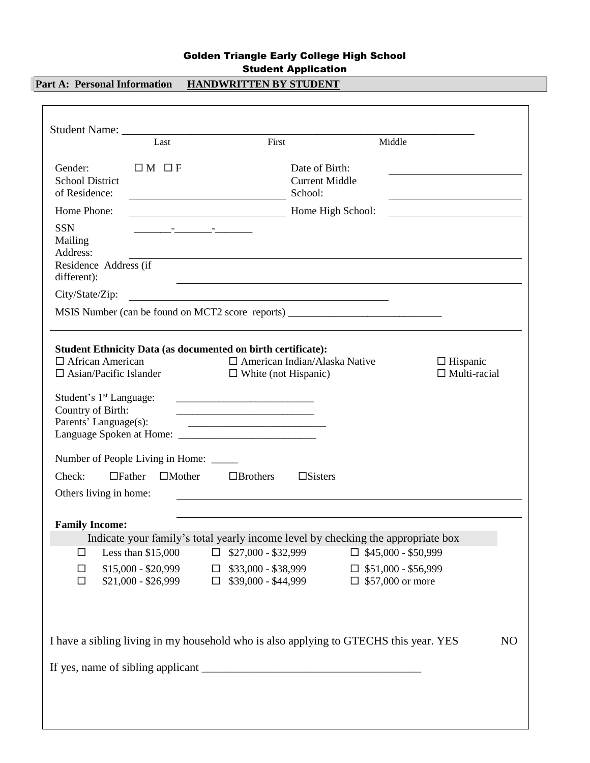## Golden Triangle Early College High School Student Application

**Part A: Personal Information HANDWRITTEN BY STUDENT** 

|                                                                                             | Last                                                                                                                                                                                                                                 | First                                                                                                                      |                                                    | Middle                                                |                                                    |                |
|---------------------------------------------------------------------------------------------|--------------------------------------------------------------------------------------------------------------------------------------------------------------------------------------------------------------------------------------|----------------------------------------------------------------------------------------------------------------------------|----------------------------------------------------|-------------------------------------------------------|----------------------------------------------------|----------------|
| Gender:<br><b>School District</b><br>of Residence:                                          | $\Box M \Box F$                                                                                                                                                                                                                      |                                                                                                                            | Date of Birth:<br><b>Current Middle</b><br>School: |                                                       | <u> 1989 - John Stein, Amerikaansk politiker (</u> |                |
| Home Phone:                                                                                 |                                                                                                                                                                                                                                      |                                                                                                                            | Home High School:                                  |                                                       |                                                    |                |
| <b>SSN</b><br>Mailing<br>Address:<br>Residence Address (if<br>different):                   | <u> 1980 - Jan James Harry Harry Harry Harry Harry Harry Harry Harry Harry Harry Harry Harry Harry Harry Harry Harry Harry Harry Harry Harry Harry Harry Harry Harry Harry Harry Harry Harry Harry Harry Harry Harry Harry Harry</u> | <u> 1989 - Johann Stoff, amerikansk politiker (d. 1989)</u>                                                                |                                                    |                                                       |                                                    |                |
| City/State/Zip:                                                                             |                                                                                                                                                                                                                                      | <u> 1989 - Johann Barbara, martin amerikan basal dan berasal dan berasal dalam basal dan berasal dan berasal dan</u>       |                                                    |                                                       |                                                    |                |
|                                                                                             |                                                                                                                                                                                                                                      | MSIS Number (can be found on MCT2 score reports) ________________________________                                          |                                                    |                                                       |                                                    |                |
| Student's 1 <sup>st</sup> Language:<br>Country of Birth:<br>Parents' Language(s):<br>Check: | Number of People Living in Home: _____<br>$\Box$ Mother<br>$\Box$ Father                                                                                                                                                             | $\Box$ Brothers                                                                                                            | $\Box$ Sisters                                     |                                                       |                                                    |                |
| Others living in home:                                                                      |                                                                                                                                                                                                                                      |                                                                                                                            |                                                    |                                                       |                                                    |                |
| <b>Family Income:</b>                                                                       |                                                                                                                                                                                                                                      |                                                                                                                            |                                                    |                                                       |                                                    |                |
| □                                                                                           | Less than $$15,000$                                                                                                                                                                                                                  | Indicate your family's total yearly income level by checking the appropriate box<br>$\Box$ \$27,000 - \$32,999             |                                                    | $\Box$ \$45,000 - \$50,999                            |                                                    |                |
| □<br>$\Box$                                                                                 | $$15,000 - $20,999$<br>$$21,000 - $26,999$                                                                                                                                                                                           | $\Box$ \$33,000 - \$38,999<br>$\Box$ \$39,000 - \$44,999                                                                   |                                                    | $\Box$ \$51,000 - \$56,999<br>$\Box$ \$57,000 or more |                                                    |                |
|                                                                                             |                                                                                                                                                                                                                                      | I have a sibling living in my household who is also applying to GTECHS this year. YES<br>If yes, name of sibling applicant |                                                    |                                                       |                                                    | N <sub>O</sub> |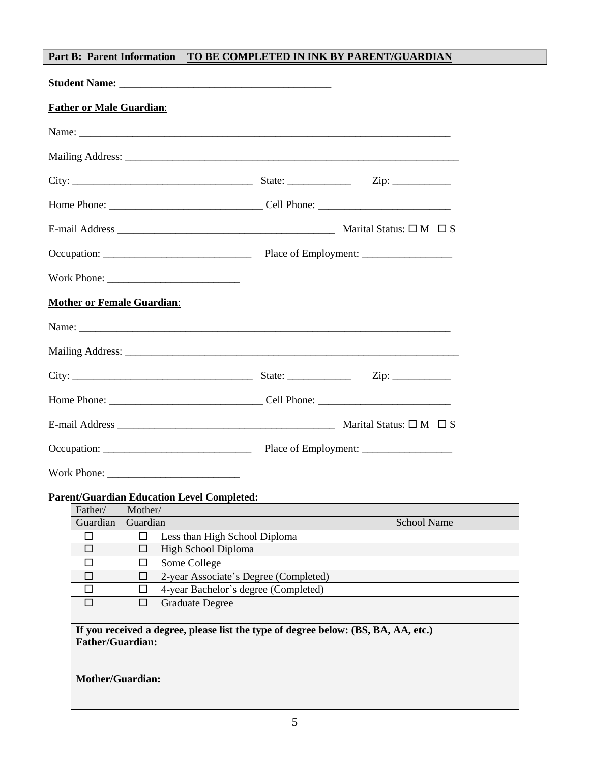## **Part B: Parent Information TO BE COMPLETED IN INK BY PARENT/GUARDIAN**

| <b>Father or Male Guardian:</b>                                                                               |                                       |                    |
|---------------------------------------------------------------------------------------------------------------|---------------------------------------|--------------------|
|                                                                                                               |                                       |                    |
|                                                                                                               |                                       |                    |
|                                                                                                               |                                       |                    |
|                                                                                                               |                                       |                    |
|                                                                                                               |                                       |                    |
|                                                                                                               |                                       |                    |
|                                                                                                               |                                       |                    |
| <b>Mother or Female Guardian:</b>                                                                             |                                       |                    |
|                                                                                                               |                                       |                    |
|                                                                                                               |                                       |                    |
|                                                                                                               |                                       |                    |
|                                                                                                               |                                       |                    |
|                                                                                                               |                                       |                    |
|                                                                                                               |                                       |                    |
|                                                                                                               |                                       |                    |
| <b>Parent/Guardian Education Level Completed:</b>                                                             |                                       |                    |
| Father/<br>Mother/                                                                                            |                                       |                    |
| Guardian<br>Guardian                                                                                          |                                       | <b>School Name</b> |
| $\Box$<br>ш                                                                                                   | Less than High School Diploma         |                    |
| High School Diploma<br>□<br>$\Box$                                                                            |                                       |                    |
| $\Box$<br>Some College<br>□                                                                                   |                                       |                    |
| П<br>ΙI                                                                                                       | 2-year Associate's Degree (Completed) |                    |
| □<br>$\Box$                                                                                                   | 4-year Bachelor's degree (Completed)  |                    |
| <b>Graduate Degree</b><br>□<br>□                                                                              |                                       |                    |
|                                                                                                               |                                       |                    |
| If you received a degree, please list the type of degree below: (BS, BA, AA, etc.)<br><b>Father/Guardian:</b> |                                       |                    |

**Mother/Guardian:**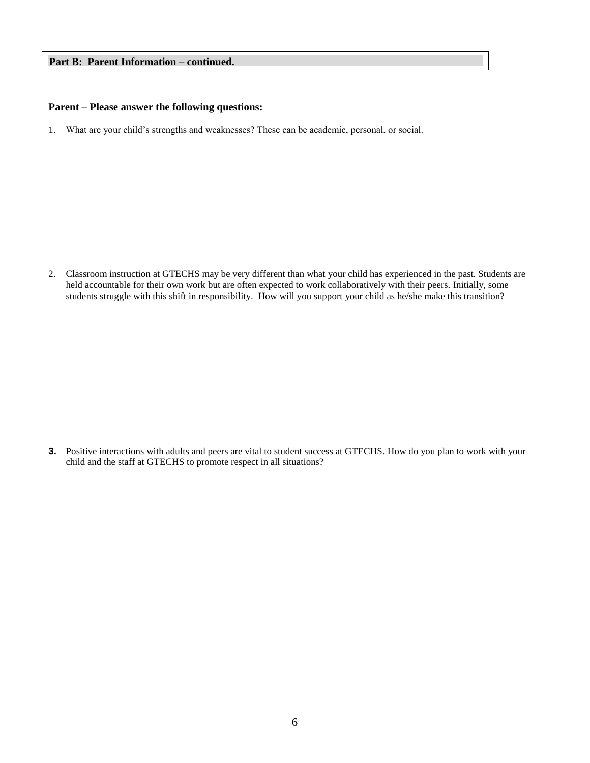### **Part B: Parent Information – continued.**

#### **Parent – Please answer the following questions:**

1. What are your child's strengths and weaknesses? These can be academic, personal, or social.

2. Classroom instruction at GTECHS may be very different than what your child has experienced in the past. Students are held accountable for their own work but are often expected to work collaboratively with their peers. Initially, some students struggle with this shift in responsibility. How will you support your child as he/she make this transition?

**3.** Positive interactions with adults and peers are vital to student success at GTECHS. How do you plan to work with your child and the staff at GTECHS to promote respect in all situations?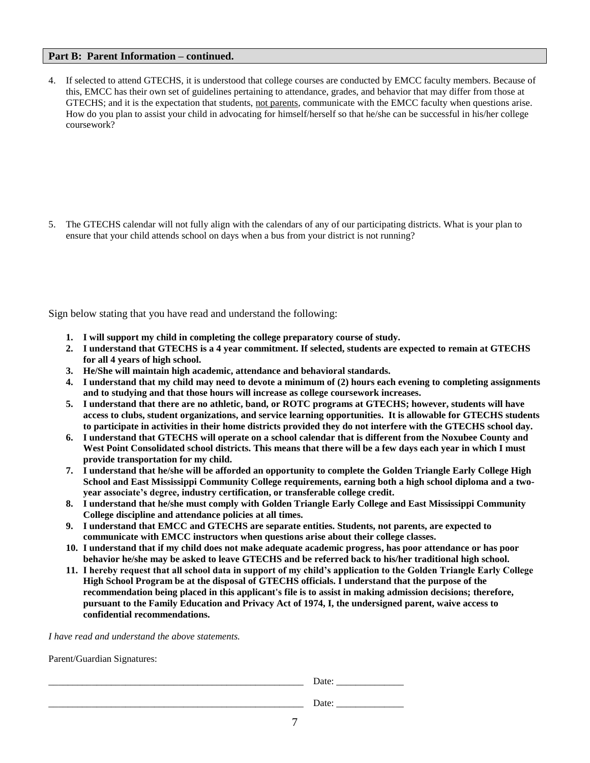### **Part B: Parent Information – continued.**

4. If selected to attend GTECHS, it is understood that college courses are conducted by EMCC faculty members. Because of this, EMCC has their own set of guidelines pertaining to attendance, grades, and behavior that may differ from those at GTECHS; and it is the expectation that students, not parents, communicate with the EMCC faculty when questions arise. How do you plan to assist your child in advocating for himself/herself so that he/she can be successful in his/her college coursework?

5. The GTECHS calendar will not fully align with the calendars of any of our participating districts. What is your plan to ensure that your child attends school on days when a bus from your district is not running?

Sign below stating that you have read and understand the following:

- **1. I will support my child in completing the college preparatory course of study.**
- **2. I understand that GTECHS is a 4 year commitment. If selected, students are expected to remain at GTECHS for all 4 years of high school.**
- **3. He/She will maintain high academic, attendance and behavioral standards.**
- **4. I understand that my child may need to devote a minimum of (2) hours each evening to completing assignments and to studying and that those hours will increase as college coursework increases.**
- **5. I understand that there are no athletic, band, or ROTC programs at GTECHS; however, students will have access to clubs, student organizations, and service learning opportunities. It is allowable for GTECHS students to participate in activities in their home districts provided they do not interfere with the GTECHS school day.**
- **6. I understand that GTECHS will operate on a school calendar that is different from the Noxubee County and West Point Consolidated school districts. This means that there will be a few days each year in which I must provide transportation for my child.**
- **7. I understand that he/she will be afforded an opportunity to complete the Golden Triangle Early College High School and East Mississippi Community College requirements, earning both a high school diploma and a twoyear associate's degree, industry certification, or transferable college credit.**
- **8. I understand that he/she must comply with Golden Triangle Early College and East Mississippi Community College discipline and attendance policies at all times.**
- **9. I understand that EMCC and GTECHS are separate entities. Students, not parents, are expected to communicate with EMCC instructors when questions arise about their college classes.**
- **10. I understand that if my child does not make adequate academic progress, has poor attendance or has poor behavior he/she may be asked to leave GTECHS and be referred back to his/her traditional high school.**
- **11. I hereby request that all school data in support of my child's application to the Golden Triangle Early College High School Program be at the disposal of GTECHS officials. I understand that the purpose of the recommendation being placed in this applicant's file is to assist in making admission decisions; therefore, pursuant to the Family Education and Privacy Act of 1974, I, the undersigned parent, waive access to confidential recommendations.**

*I have read and understand the above statements.*

Parent/Guardian Signatures:

| ____________ | -<br>______________ |
|--------------|---------------------|
|              |                     |
|              | ______________      |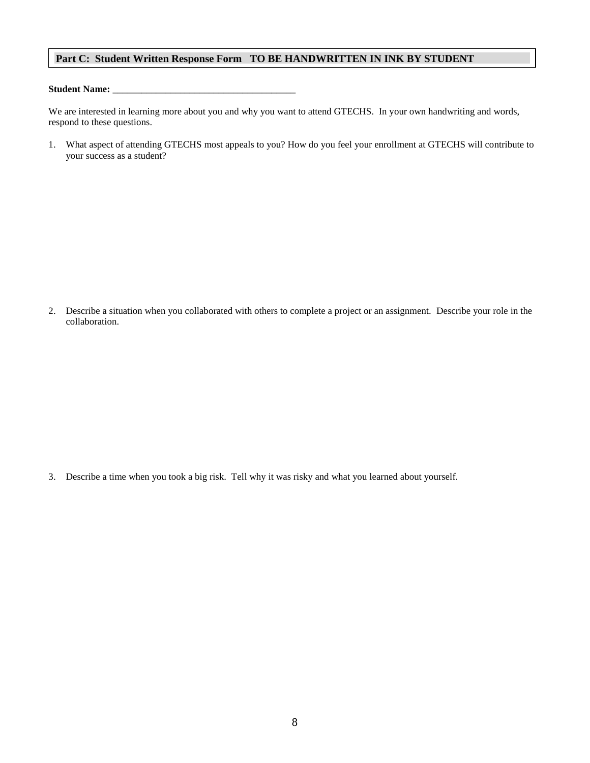### **Part C: Student Written Response Form TO BE HANDWRITTEN IN INK BY STUDENT**

### Student Name: \_\_\_\_

We are interested in learning more about you and why you want to attend GTECHS. In your own handwriting and words, respond to these questions.

1. What aspect of attending GTECHS most appeals to you? How do you feel your enrollment at GTECHS will contribute to your success as a student?

2. Describe a situation when you collaborated with others to complete a project or an assignment. Describe your role in the collaboration.

3. Describe a time when you took a big risk. Tell why it was risky and what you learned about yourself.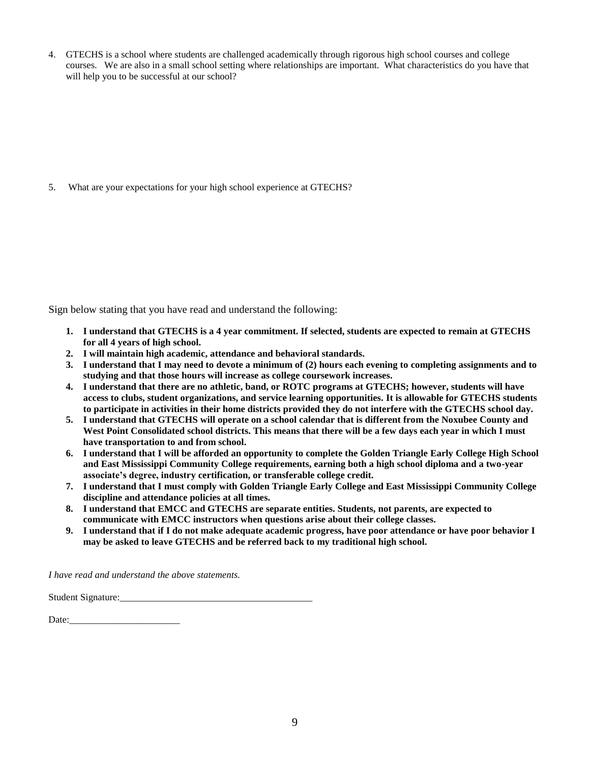4. GTECHS is a school where students are challenged academically through rigorous high school courses and college courses. We are also in a small school setting where relationships are important. What characteristics do you have that will help you to be successful at our school?

5. What are your expectations for your high school experience at GTECHS?

Sign below stating that you have read and understand the following:

- **1. I understand that GTECHS is a 4 year commitment. If selected, students are expected to remain at GTECHS for all 4 years of high school.**
- **2. I will maintain high academic, attendance and behavioral standards.**
- **3. I understand that I may need to devote a minimum of (2) hours each evening to completing assignments and to studying and that those hours will increase as college coursework increases.**
- **4. I understand that there are no athletic, band, or ROTC programs at GTECHS; however, students will have access to clubs, student organizations, and service learning opportunities. It is allowable for GTECHS students to participate in activities in their home districts provided they do not interfere with the GTECHS school day.**
- **5. I understand that GTECHS will operate on a school calendar that is different from the Noxubee County and**  West Point Consolidated school districts. This means that there will be a few days each year in which I must **have transportation to and from school.**
- **6. I understand that I will be afforded an opportunity to complete the Golden Triangle Early College High School and East Mississippi Community College requirements, earning both a high school diploma and a two-year associate's degree, industry certification, or transferable college credit.**
- **7. I understand that I must comply with Golden Triangle Early College and East Mississippi Community College discipline and attendance policies at all times.**
- **8. I understand that EMCC and GTECHS are separate entities. Students, not parents, are expected to communicate with EMCC instructors when questions arise about their college classes.**
- **9. I understand that if I do not make adequate academic progress, have poor attendance or have poor behavior I may be asked to leave GTECHS and be referred back to my traditional high school.**

*I have read and understand the above statements.*

Student Signature:

Date:\_\_\_\_\_\_\_\_\_\_\_\_\_\_\_\_\_\_\_\_\_\_\_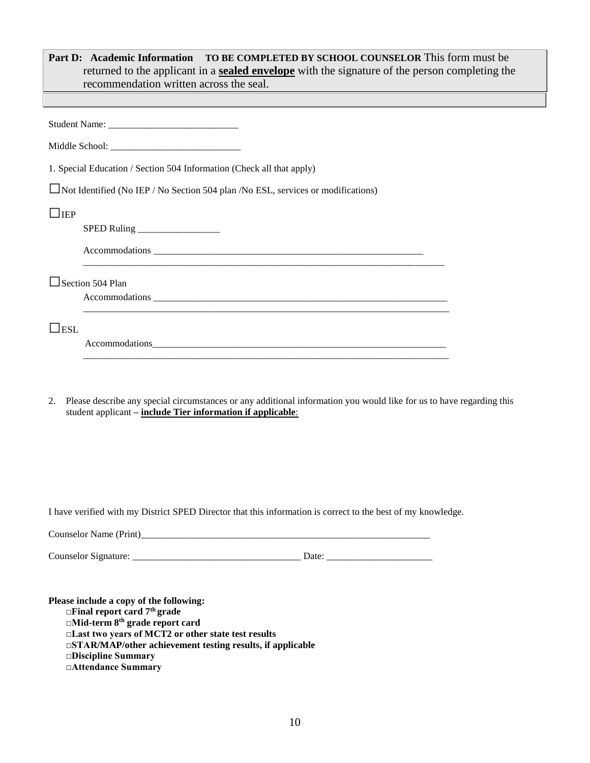| TO BE COMPLETED BY SCHOOL COUNSELOR This form must be<br>Part D: Academic Information<br>returned to the applicant in a <b>sealed envelope</b> with the signature of the person completing the<br>recommendation written across the seal.                                                                        |
|------------------------------------------------------------------------------------------------------------------------------------------------------------------------------------------------------------------------------------------------------------------------------------------------------------------|
|                                                                                                                                                                                                                                                                                                                  |
|                                                                                                                                                                                                                                                                                                                  |
|                                                                                                                                                                                                                                                                                                                  |
| 1. Special Education / Section 504 Information (Check all that apply)                                                                                                                                                                                                                                            |
| $\Box$ Not Identified (No IEP / No Section 504 plan /No ESL, services or modifications)                                                                                                                                                                                                                          |
| $\Box$ iep                                                                                                                                                                                                                                                                                                       |
|                                                                                                                                                                                                                                                                                                                  |
|                                                                                                                                                                                                                                                                                                                  |
| $\Box$ Section 504 Plan                                                                                                                                                                                                                                                                                          |
|                                                                                                                                                                                                                                                                                                                  |
| $\Box$ esl                                                                                                                                                                                                                                                                                                       |
| Please describe any special circumstances or any additional information you would like for us to have regarding this<br>2.<br>student applicant - include Tier information if applicable:                                                                                                                        |
| I have verified with my District SPED Director that this information is correct to the best of my knowledge.                                                                                                                                                                                                     |
|                                                                                                                                                                                                                                                                                                                  |
|                                                                                                                                                                                                                                                                                                                  |
| Please include a copy of the following:<br>$\Box$ Final report card $7th$ grade<br>□Mid-term 8 <sup>th</sup> grade report card<br>□Last two years of MCT2 or other state test results<br>$\square$ STAR/MAP/other achievement testing results, if applicable<br><b>Discipline Summary</b><br>□Attendance Summary |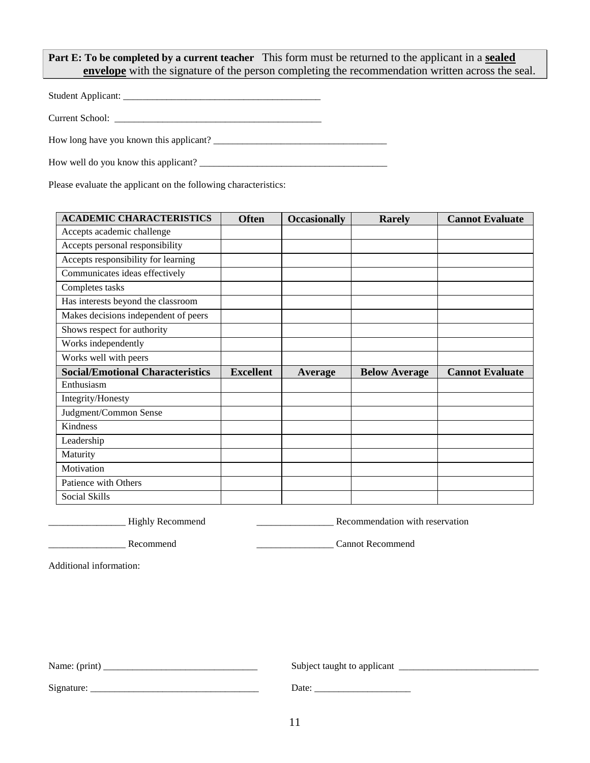**Part E: To be completed by a current teacher** This form must be returned to the applicant in a **sealed envelope** with the signature of the person completing the recommendation written across the seal.

Student Applicant: \_\_\_\_\_\_\_\_\_\_\_\_\_\_\_\_\_\_\_\_\_\_\_\_\_\_\_\_\_\_\_\_\_\_\_\_\_\_\_\_\_

Current School: \_\_\_\_\_\_\_\_\_\_\_\_\_\_\_\_\_\_\_\_\_\_\_\_\_\_\_\_\_\_\_\_\_\_\_\_\_\_\_\_\_\_\_

How long have you known this applicant? \_\_\_\_\_\_\_\_\_\_\_\_\_\_\_\_\_\_\_\_\_\_\_\_\_\_\_\_\_\_\_\_\_\_\_\_

How well do you know this applicant? \_\_\_\_\_\_\_\_\_\_\_\_\_\_\_\_\_\_\_\_\_\_\_\_\_\_\_\_\_\_\_\_\_\_\_\_\_\_\_

Please evaluate the applicant on the following characteristics:

|                  | <b>Occasionally</b> | Rarely               | <b>Cannot Evaluate</b> |
|------------------|---------------------|----------------------|------------------------|
|                  |                     |                      |                        |
|                  |                     |                      |                        |
|                  |                     |                      |                        |
|                  |                     |                      |                        |
|                  |                     |                      |                        |
|                  |                     |                      |                        |
|                  |                     |                      |                        |
|                  |                     |                      |                        |
|                  |                     |                      |                        |
|                  |                     |                      |                        |
| <b>Excellent</b> | Average             | <b>Below Average</b> | <b>Cannot Evaluate</b> |
|                  |                     |                      |                        |
|                  |                     |                      |                        |
|                  |                     |                      |                        |
|                  |                     |                      |                        |
|                  |                     |                      |                        |
|                  |                     |                      |                        |
|                  |                     |                      |                        |
|                  |                     |                      |                        |
|                  |                     |                      |                        |
|                  |                     |                      |                        |

Lower and Highly Recommend **Example 2014** Recommendation with reservation

Recommend **Example 2** Cannot Recommend **Cannot** Recommend

Additional information:

| Name: (print) | Subject taught to applicant |
|---------------|-----------------------------|
| Signature     | Date <sup>-</sup>           |